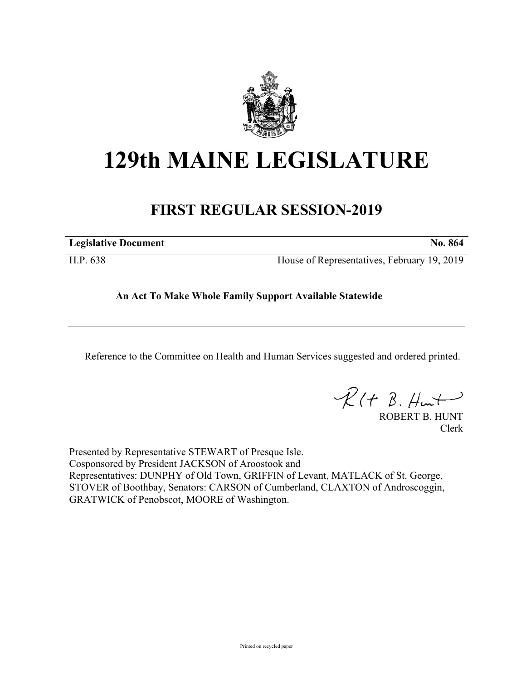

# **129th MAINE LEGISLATURE**

## **FIRST REGULAR SESSION-2019**

| <b>Legislative Document</b> | No. 864                                     |
|-----------------------------|---------------------------------------------|
| H.P. 638                    | House of Representatives, February 19, 2019 |

**An Act To Make Whole Family Support Available Statewide**

Reference to the Committee on Health and Human Services suggested and ordered printed.

 $R(H B. H<sub>un</sub>+)$ 

ROBERT B. HUNT Clerk

Presented by Representative STEWART of Presque Isle. Cosponsored by President JACKSON of Aroostook and Representatives: DUNPHY of Old Town, GRIFFIN of Levant, MATLACK of St. George, STOVER of Boothbay, Senators: CARSON of Cumberland, CLAXTON of Androscoggin, GRATWICK of Penobscot, MOORE of Washington.